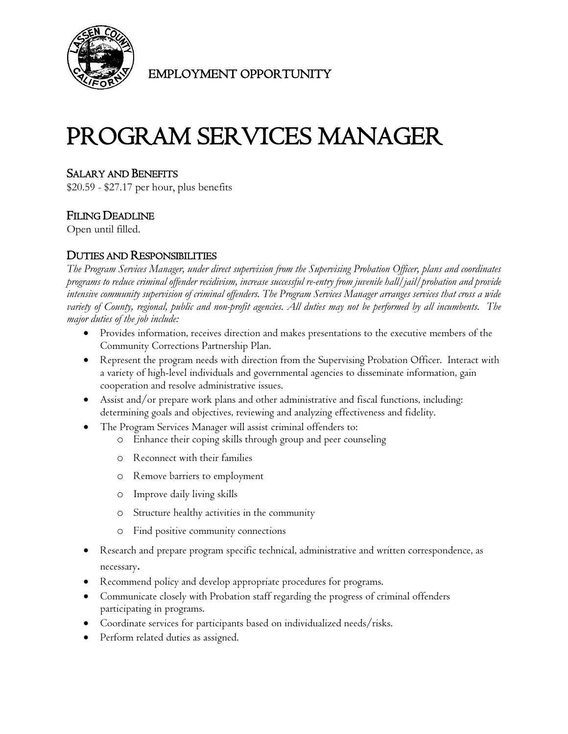

EMPLOYMENT OPPORTUNITY

# PROGRAM SERVICES MANAGER

## SALARY AND BENEFITS

\$20.59 - \$27.17 per hour, plus benefits

# FILING DEADLINE

Open until filled.

## DUTIES AND RESPONSIBILITIES

*The Program Services Manager, under direct supervision from the Supervising Probation Officer, plans and coordinates programs to reduce criminal offender recidivism, increase successful re-entry from juvenile hall/jail/probation and provide intensive community supervision of criminal offenders. The Program Services Manager arranges services that cross a wide variety of County, regional, public and non-profit agencies. All duties may not be performed by all incumbents. The major duties of the job include:*

- Provides information, receives direction and makes presentations to the executive members of the Community Corrections Partnership Plan.
- Represent the program needs with direction from the Supervising Probation Officer. Interact with a variety of high-level individuals and governmental agencies to disseminate information, gain cooperation and resolve administrative issues.
- Assist and/or prepare work plans and other administrative and fiscal functions, including: determining goals and objectives, reviewing and analyzing effectiveness and fidelity.
- The Program Services Manager will assist criminal offenders to:
	- o Enhance their coping skills through group and peer counseling
	- o Reconnect with their families
	- o Remove barriers to employment
	- o Improve daily living skills
	- o Structure healthy activities in the community
	- o Find positive community connections
- Research and prepare program specific technical, administrative and written correspondence, as necessary.
- Recommend policy and develop appropriate procedures for programs.
- Communicate closely with Probation staff regarding the progress of criminal offenders participating in programs.
- Coordinate services for participants based on individualized needs/risks.
- Perform related duties as assigned.